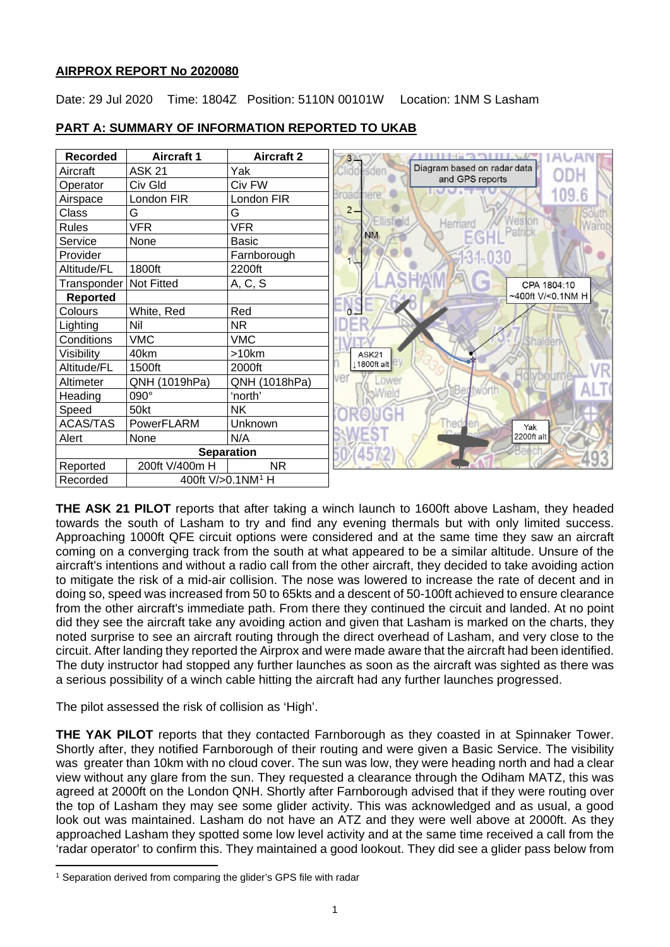## **AIRPROX REPORT No 2020080**

Date: 29 Jul 2020 Time: 1804Z Position: 5110N 00101W Location: 1NM S Lasham



## **PART A: SUMMARY OF INFORMATION REPORTED TO UKAB**

**THE ASK 21 PILOT** reports that after taking a winch launch to 1600ft above Lasham, they headed towards the south of Lasham to try and find any evening thermals but with only limited success. Approaching 1000ft QFE circuit options were considered and at the same time they saw an aircraft coming on a converging track from the south at what appeared to be a similar altitude. Unsure of the aircraft's intentions and without a radio call from the other aircraft, they decided to take avoiding action to mitigate the risk of a mid-air collision. The nose was lowered to increase the rate of decent and in doing so, speed was increased from 50 to 65kts and a descent of 50-100ft achieved to ensure clearance from the other aircraft's immediate path. From there they continued the circuit and landed. At no point did they see the aircraft take any avoiding action and given that Lasham is marked on the charts, they noted surprise to see an aircraft routing through the direct overhead of Lasham, and very close to the circuit. After landing they reported the Airprox and were made aware that the aircraft had been identified. The duty instructor had stopped any further launches as soon as the aircraft was sighted as there was a serious possibility of a winch cable hitting the aircraft had any further launches progressed.

The pilot assessed the risk of collision as 'High'.

**THE YAK PILOT** reports that they contacted Farnborough as they coasted in at Spinnaker Tower. Shortly after, they notified Farnborough of their routing and were given a Basic Service. The visibility was greater than 10km with no cloud cover. The sun was low, they were heading north and had a clear view without any glare from the sun. They requested a clearance through the Odiham MATZ, this was agreed at 2000ft on the London QNH. Shortly after Farnborough advised that if they were routing over the top of Lasham they may see some glider activity. This was acknowledged and as usual, a good look out was maintained. Lasham do not have an ATZ and they were well above at 2000ft. As they approached Lasham they spotted some low level activity and at the same time received a call from the 'radar operator' to confirm this. They maintained a good lookout. They did see a glider pass below from

<span id="page-0-0"></span><sup>&</sup>lt;sup>1</sup> Separation derived from comparing the glider's GPS file with radar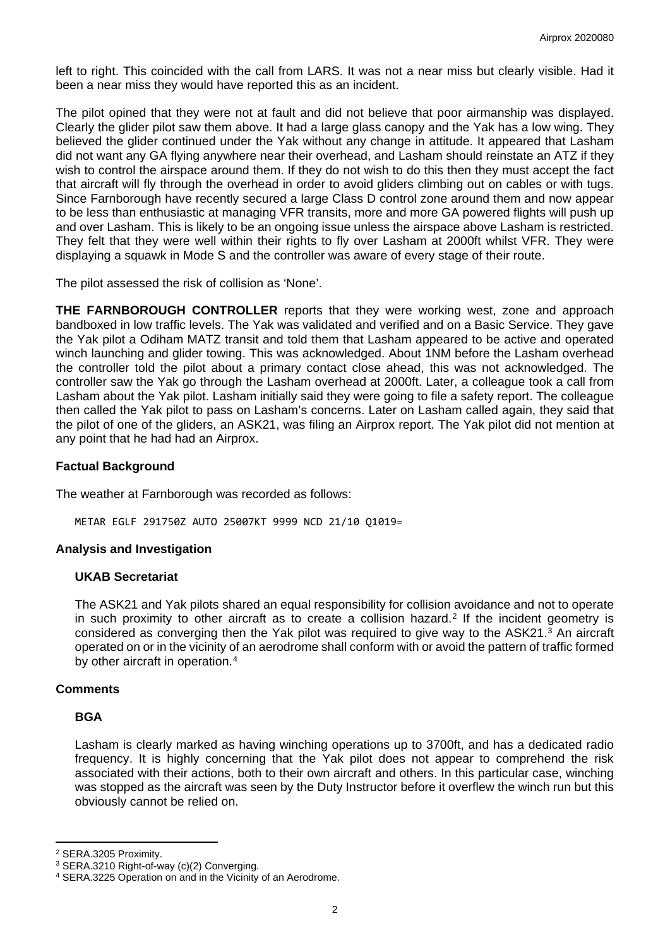left to right. This coincided with the call from LARS. It was not a near miss but clearly visible. Had it been a near miss they would have reported this as an incident.

The pilot opined that they were not at fault and did not believe that poor airmanship was displayed. Clearly the glider pilot saw them above. It had a large glass canopy and the Yak has a low wing. They believed the glider continued under the Yak without any change in attitude. It appeared that Lasham did not want any GA flying anywhere near their overhead, and Lasham should reinstate an ATZ if they wish to control the airspace around them. If they do not wish to do this then they must accept the fact that aircraft will fly through the overhead in order to avoid gliders climbing out on cables or with tugs. Since Farnborough have recently secured a large Class D control zone around them and now appear to be less than enthusiastic at managing VFR transits, more and more GA powered flights will push up and over Lasham. This is likely to be an ongoing issue unless the airspace above Lasham is restricted. They felt that they were well within their rights to fly over Lasham at 2000ft whilst VFR. They were displaying a squawk in Mode S and the controller was aware of every stage of their route.

The pilot assessed the risk of collision as 'None'.

**THE FARNBOROUGH CONTROLLER** reports that they were working west, zone and approach bandboxed in low traffic levels. The Yak was validated and verified and on a Basic Service. They gave the Yak pilot a Odiham MATZ transit and told them that Lasham appeared to be active and operated winch launching and glider towing. This was acknowledged. About 1NM before the Lasham overhead the controller told the pilot about a primary contact close ahead, this was not acknowledged. The controller saw the Yak go through the Lasham overhead at 2000ft. Later, a colleague took a call from Lasham about the Yak pilot. Lasham initially said they were going to file a safety report. The colleague then called the Yak pilot to pass on Lasham's concerns. Later on Lasham called again, they said that the pilot of one of the gliders, an ASK21, was filing an Airprox report. The Yak pilot did not mention at any point that he had had an Airprox.

### **Factual Background**

The weather at Farnborough was recorded as follows:

METAR EGLF 291750Z AUTO 25007KT 9999 NCD 21/10 Q1019=

### **Analysis and Investigation**

### **UKAB Secretariat**

The ASK21 and Yak pilots shared an equal responsibility for collision avoidance and not to operate in such proximity to other aircraft as to create a collision hazard.<sup>[2](#page-1-0)</sup> If the incident geometry is considered as converging then the Yak pilot was required to give way to the ASK21.<sup>[3](#page-1-1)</sup> An aircraft operated on or in the vicinity of an aerodrome shall conform with or avoid the pattern of traffic formed by other aircraft in operation.<sup>[4](#page-1-2)</sup>

### **Comments**

### **BGA**

Lasham is clearly marked as having winching operations up to 3700ft, and has a dedicated radio frequency. It is highly concerning that the Yak pilot does not appear to comprehend the risk associated with their actions, both to their own aircraft and others. In this particular case, winching was stopped as the aircraft was seen by the Duty Instructor before it overflew the winch run but this obviously cannot be relied on.

<span id="page-1-0"></span><sup>&</sup>lt;sup>2</sup> SERA.3205 Proximity.<br><sup>3</sup> SERA.3210 Right-of-way (c)(2) Converging.

<span id="page-1-2"></span><span id="page-1-1"></span><sup>&</sup>lt;sup>4</sup> SERA.3225 Operation on and in the Vicinity of an Aerodrome.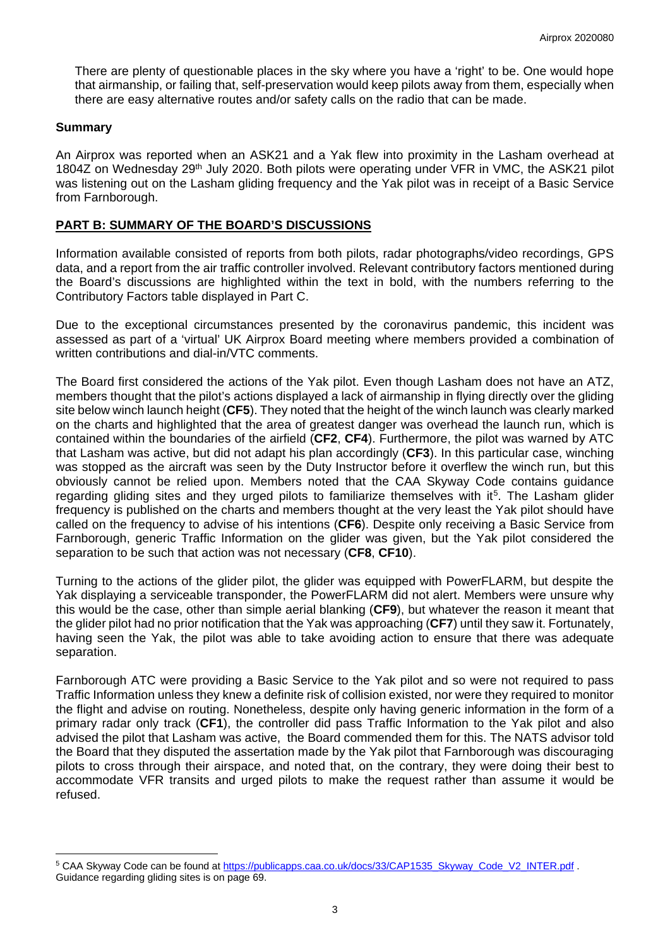There are plenty of questionable places in the sky where you have a 'right' to be. One would hope that airmanship, or failing that, self-preservation would keep pilots away from them, especially when there are easy alternative routes and/or safety calls on the radio that can be made.

## **Summary**

An Airprox was reported when an ASK21 and a Yak flew into proximity in the Lasham overhead at 1804Z on Wednesday 29<sup>th</sup> July 2020. Both pilots were operating under VFR in VMC, the ASK21 pilot was listening out on the Lasham gliding frequency and the Yak pilot was in receipt of a Basic Service from Farnborough.

### **PART B: SUMMARY OF THE BOARD'S DISCUSSIONS**

Information available consisted of reports from both pilots, radar photographs/video recordings, GPS data, and a report from the air traffic controller involved. Relevant contributory factors mentioned during the Board's discussions are highlighted within the text in bold, with the numbers referring to the Contributory Factors table displayed in Part C.

Due to the exceptional circumstances presented by the coronavirus pandemic, this incident was assessed as part of a 'virtual' UK Airprox Board meeting where members provided a combination of written contributions and dial-in/VTC comments.

The Board first considered the actions of the Yak pilot. Even though Lasham does not have an ATZ, members thought that the pilot's actions displayed a lack of airmanship in flying directly over the gliding site below winch launch height (**CF5**). They noted that the height of the winch launch was clearly marked on the charts and highlighted that the area of greatest danger was overhead the launch run, which is contained within the boundaries of the airfield (**CF2**, **CF4**). Furthermore, the pilot was warned by ATC that Lasham was active, but did not adapt his plan accordingly (**CF3**). In this particular case, winching was stopped as the aircraft was seen by the Duty Instructor before it overflew the winch run, but this obviously cannot be relied upon. Members noted that the CAA Skyway Code contains guidance regarding gliding sites and they urged pilots to familiarize themselves with it<sup>5</sup>. The Lasham glider frequency is published on the charts and members thought at the very least the Yak pilot should have called on the frequency to advise of his intentions (**CF6**). Despite only receiving a Basic Service from Farnborough, generic Traffic Information on the glider was given, but the Yak pilot considered the separation to be such that action was not necessary (**CF8**, **CF10**).

Turning to the actions of the glider pilot, the glider was equipped with PowerFLARM, but despite the Yak displaying a serviceable transponder, the PowerFLARM did not alert. Members were unsure why this would be the case, other than simple aerial blanking (**CF9**), but whatever the reason it meant that the glider pilot had no prior notification that the Yak was approaching (**CF7**) until they saw it. Fortunately, having seen the Yak, the pilot was able to take avoiding action to ensure that there was adequate separation.

Farnborough ATC were providing a Basic Service to the Yak pilot and so were not required to pass Traffic Information unless they knew a definite risk of collision existed, nor were they required to monitor the flight and advise on routing. Nonetheless, despite only having generic information in the form of a primary radar only track (**CF1**), the controller did pass Traffic Information to the Yak pilot and also advised the pilot that Lasham was active, the Board commended them for this. The NATS advisor told the Board that they disputed the assertation made by the Yak pilot that Farnborough was discouraging pilots to cross through their airspace, and noted that, on the contrary, they were doing their best to accommodate VFR transits and urged pilots to make the request rather than assume it would be refused.

<span id="page-2-0"></span><sup>5</sup> CAA Skyway Code can be found at [https://publicapps.caa.co.uk/docs/33/CAP1535\\_Skyway\\_Code\\_V2\\_INTER.pdf](https://publicapps.caa.co.uk/docs/33/CAP1535_Skyway_Code_V2_INTER.pdf) . Guidance regarding gliding sites is on page 69.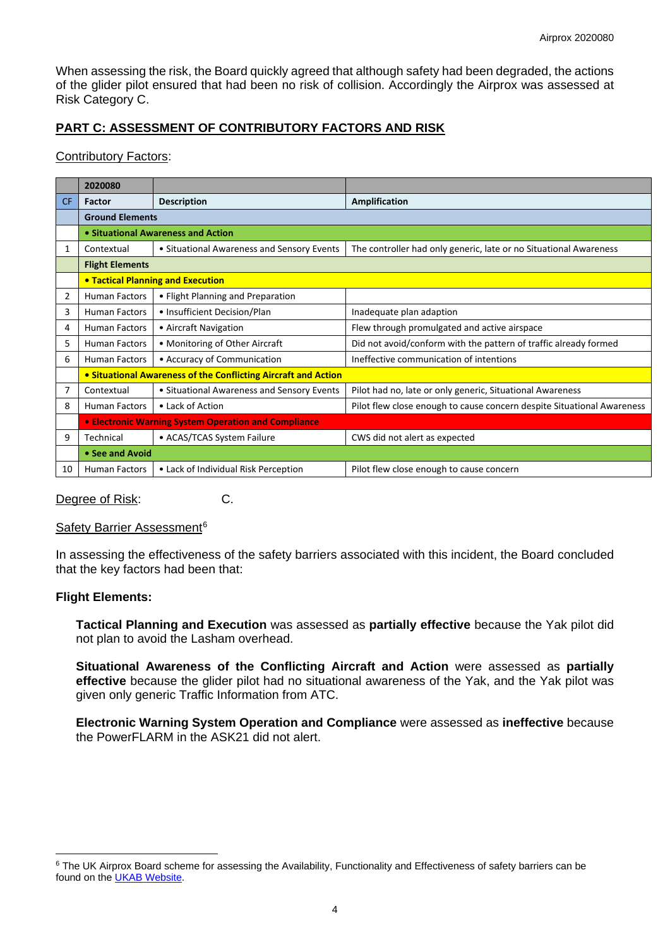When assessing the risk, the Board quickly agreed that although safety had been degraded, the actions of the glider pilot ensured that had been no risk of collision. Accordingly the Airprox was assessed at Risk Category C.

# **PART C: ASSESSMENT OF CONTRIBUTORY FACTORS AND RISK**

### Contributory Factors:

|                | 2020080                                                        |                                            |                                                                        |
|----------------|----------------------------------------------------------------|--------------------------------------------|------------------------------------------------------------------------|
| <b>CF</b>      | <b>Factor</b>                                                  | <b>Description</b>                         | <b>Amplification</b>                                                   |
|                | <b>Ground Elements</b>                                         |                                            |                                                                        |
|                | • Situational Awareness and Action                             |                                            |                                                                        |
| 1              | Contextual                                                     | • Situational Awareness and Sensory Events | The controller had only generic, late or no Situational Awareness      |
|                | <b>Flight Elements</b>                                         |                                            |                                                                        |
|                | <b>• Tactical Planning and Execution</b>                       |                                            |                                                                        |
| $\overline{2}$ | <b>Human Factors</b>                                           | • Flight Planning and Preparation          |                                                                        |
| 3              | <b>Human Factors</b>                                           | • Insufficient Decision/Plan               | Inadequate plan adaption                                               |
| 4              | <b>Human Factors</b>                                           | • Aircraft Navigation                      | Flew through promulgated and active airspace                           |
| 5              | <b>Human Factors</b>                                           | • Monitoring of Other Aircraft             | Did not avoid/conform with the pattern of traffic already formed       |
| 6              | <b>Human Factors</b>                                           | • Accuracy of Communication                | Ineffective communication of intentions                                |
|                | • Situational Awareness of the Conflicting Aircraft and Action |                                            |                                                                        |
| 7              | Contextual                                                     | • Situational Awareness and Sensory Events | Pilot had no, late or only generic, Situational Awareness              |
| 8              | <b>Human Factors</b>                                           | • Lack of Action                           | Pilot flew close enough to cause concern despite Situational Awareness |
|                | • Electronic Warning System Operation and Compliance           |                                            |                                                                        |
| 9              | Technical                                                      | • ACAS/TCAS System Failure                 | CWS did not alert as expected                                          |
|                | • See and Avoid                                                |                                            |                                                                        |
| 10             | <b>Human Factors</b>                                           | • Lack of Individual Risk Perception       | Pilot flew close enough to cause concern                               |

Degree of Risk: C.

### Safety Barrier Assessment<sup>[6](#page-3-0)</sup>

In assessing the effectiveness of the safety barriers associated with this incident, the Board concluded that the key factors had been that:

## **Flight Elements:**

**Tactical Planning and Execution** was assessed as **partially effective** because the Yak pilot did not plan to avoid the Lasham overhead.

**Situational Awareness of the Conflicting Aircraft and Action** were assessed as **partially effective** because the glider pilot had no situational awareness of the Yak, and the Yak pilot was given only generic Traffic Information from ATC.

**Electronic Warning System Operation and Compliance** were assessed as **ineffective** because the PowerFLARM in the ASK21 did not alert.

<span id="page-3-0"></span><sup>&</sup>lt;sup>6</sup> The UK Airprox Board scheme for assessing the Availability, Functionality and Effectiveness of safety barriers can be found on the [UKAB Website.](http://www.airproxboard.org.uk/Learn-more/Airprox-Barrier-Assessment/)